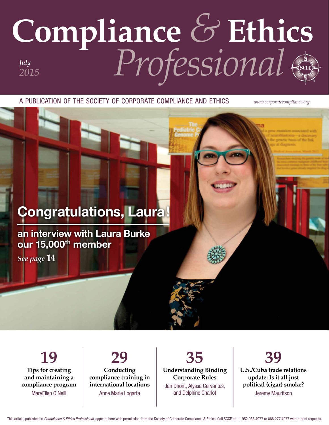## **Compliance** *&* **Ethics** *Professional July 2015*

a publication of the society of corporate compliance and ethics *www.corporatecompliance.org*

Congratulations, Laura!

an interview with Laura Burke our 15,000<sup>th</sup> member

*See page* **14**

**19 Tips for creating and maintaining a compliance program** MaryEllen O'Neill

**29 Conducting compliance training in international locations** Anne Marie Logarta

**35 Understanding Binding Corporate Rules** Jan Dhont, Alyssa Cervantes, and Delphine Charlot

**39 U.S./Cuba trade relations update: Is it all just political (cigar) smoke?** Jeremy Mauritson

This article, published in *Compliance & Ethics Professional*, appears here with permission from the Society of Corporate Compliance & Ethics. Call SCCE at +1 952 933 4977 or 888 277 4977 with reprint requests.